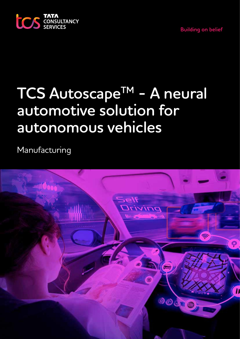



# **TCS AutoscapeTM - A neural automotive solution for autonomous vehicles**

Manufacturing

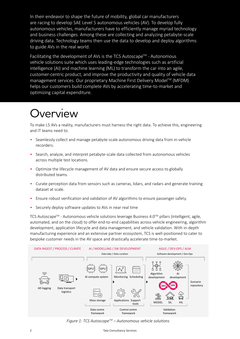In their endeavor to shape the future of mobility, global car manufacturers are racing to develop SAE Level 5 autonomous vehicles (AV). To develop fully autonomous vehicles, manufacturers have to efficiently manage myriad technology and business challenges. Among these are collecting and analyzing petabyte-scale driving data. Technology teams then use the data to develop and deploy algorithms to guide AVs in the real world.

Facilitating the development of AVs is the TCS Autoscape<sup>TM</sup> - Autonomous vehicle solutions suite which uses leading-edge technologies such as artificial intelligence (AI) and machine learning (ML) to transform the car into an agile, customer-centric product, and improve the productivity and quality of vehicle data management services. Our proprietary Machine First Delivery Model™ (MFDM) helps our customers build complete AVs by accelerating time-to-market and optimizing capital expenditure.

### 'erview

To make L5 AVs a reality, manufacturers must harness the right data. To achieve this, engineering and IT teams need to:

- Seamlessly collect and manage petabyte-scale autonomous driving data from in-vehicle recorders.
- Search, analyze, and interpret petabyte-scale data collected from autonomous vehicles across multiple test locations.
- Optimize the lifecycle management of AV data and ensure secure access to globally distributed teams.
- Curate perception data from sensors such as cameras, lidars, and radars and generate training dataset at scale.
- Ensure robust verification and validation of AV algorithms to ensure passenger safety.
- Securely deploy software updates to AVs in near real time

TCS Autoscape™ - Autonomous vehicle solutions leverage Business 4.0™ pillars (intelligent, agile, automated, and on the cloud) to offer end-to-end capabilities across vehicle engineering, algorithm development, application lifecycle and data management, and vehicle validation. With in-depth manufacturing experience and an extensive partner ecosystem, TCS is well-positioned to cater to bespoke customer needs in the AV space and drastically accelerate time-to-market.



*Figure 1: TCS AutoscapeTM – Autonomous vehicle solutions*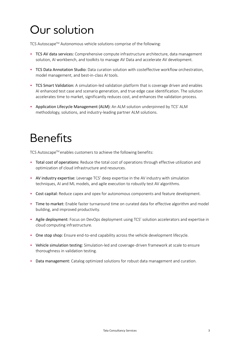## Our solution

TCS Autoscape™ Autonomous vehicle solutions comprise of the following:

- TCS AV data services: Comprehensive compute infrastructure architecture, data management solution, AI workbench, and toolkits to manage AV Data and accelerate AV development.
- TCS Data Annotation Studio: Data curation solution with costeffective workflow orchestration, model management, and best-in-class AI tools.
- TCS Smart Validation: A simulation-led validation platform that is coverage driven and enables AI enhanced test case and scenario generation, and true edge case identification. The solution accelerates time to market, significantly reduces cost, and enhances the validation process.
- Application Lifecycle Management (ALM): An ALM solution underpinned by TCS' ALM methodology, solutions, and industry-leading partner ALM solutions.

### Benefits

TCS Autoscape™ enables customers to achieve the following benefits:

- Total cost of operations: Reduce the total cost of operations through effective utilization and optimization of cloud infrastructure and resources.
- AV industry expertise: Leverage TCS' deep expertise in the AV industry with simulation techniques, AI and ML models, and agile execution to robustly test AV algorithms.
- Cost capital: Reduce capex and opex for autonomous components and feature development.
- Time to market: Enable faster turnaround time on curated data for effective algorithm and model building, and improved productivity.
- Agile deployment: Focus on DevOps deployment using TCS' solution accelerators and expertise in cloud computing infrastructure.
- One stop shop: Ensure end-to-end capability across the vehicle development lifecycle.
- Vehicle simulation testing: Simulation-led and coverage-driven framework at scale to ensure thoroughness in validation testing.
- Data management: Catalog optimized solutions for robust data management and curation.